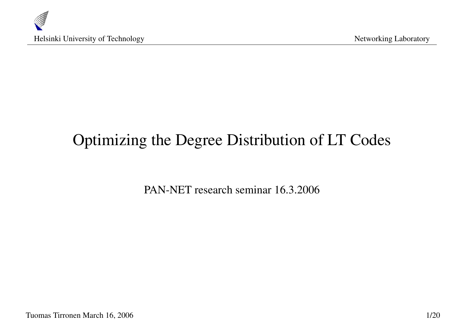

# Optimizing the Degree Distribution of LT Codes

PAN-NET research seminar 16.3.2006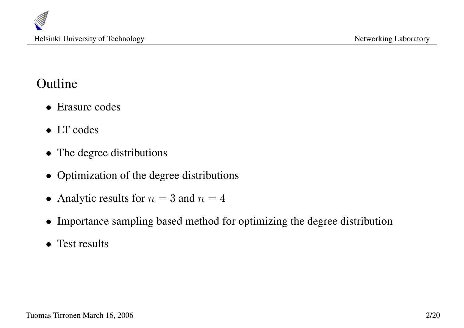### Outline

- Erasure codes
- LT codes
- The degree distributions
- Optimization of the degree distributions
- Analytic results for  $n = 3$  and  $n = 4$
- Importance sampling based method for optimizing the degree distribution
- Test results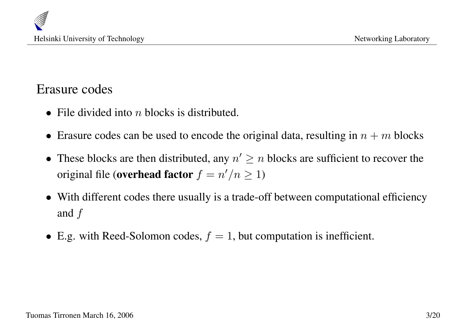

#### Erasure codes

- File divided into  $n$  blocks is distributed.
- Erasure codes can be used to encode the original data, resulting in  $n + m$  blocks
- These blocks are then distributed, any  $n' \geq n$  blocks are sufficient to recover the original file (overhead factor  $f = n'/n \ge 1$ )
- With different codes there usually is a trade-off between computational efficiency and  $f$
- E.g. with Reed-Solomon codes,  $f = 1$ , but computation is inefficient.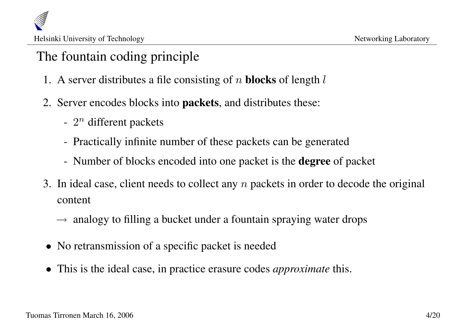# The fountain coding principle

- 1. A server distributes a file consisting of n **blocks** of length  $l$
- 2. Server encodes blocks into packets, and distributes these:
	- $2^n$  different packets
	- Practically infinite number of these packets can be generated
	- Number of blocks encoded into one packet is the **degree** of packet
- 3. In ideal case, client needs to collect any  $n$  packets in order to decode the original content
	- $\rightarrow$  analogy to filling a bucket under a fountain spraying water drops
- No retransmission of a specific packet is needed
- This is the ideal case, in practice erasure codes *approximate* this.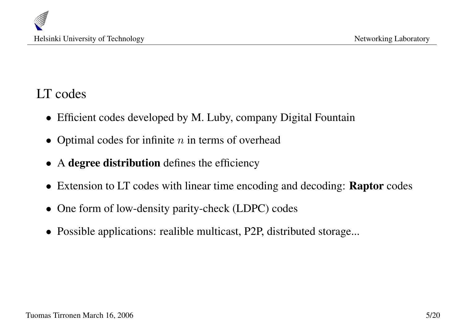

#### LT codes

- Efficient codes developed by M. Luby, company Digital Fountain
- Optimal codes for infinite  $n$  in terms of overhead
- A degree distribution defines the efficiency
- Extension to LT codes with linear time encoding and decoding: **Raptor** codes
- One form of low-density parity-check (LDPC) codes
- Possible applications: realible multicast, P2P, distributed storage...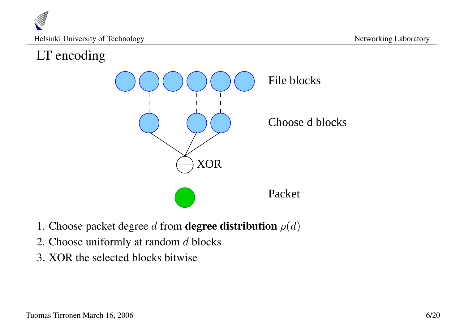

### LT encoding



- 1. Choose packet degree d from **degree distribution**  $\rho(d)$
- 2. Choose uniformly at random  $d$  blocks
- 3. XOR the selected blocks bitwise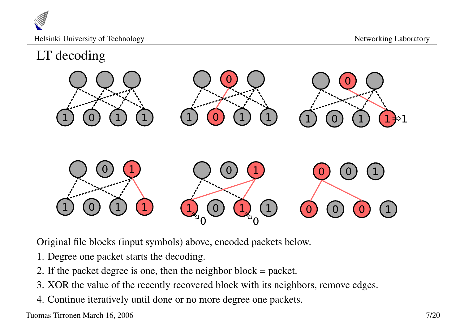

### LT decoding



Original file blocks (input symbols) above, encoded packets below.

- 1. Degree one packet starts the decoding.
- 2. If the packet degree is one, then the neighbor block = packet.
- 3. XOR the value of the recently recovered block with its neighbors, remove edges.
- 4. Continue iteratively until done or no more degree one packets.

Tuomas Tirronen March 16, 2006 7/20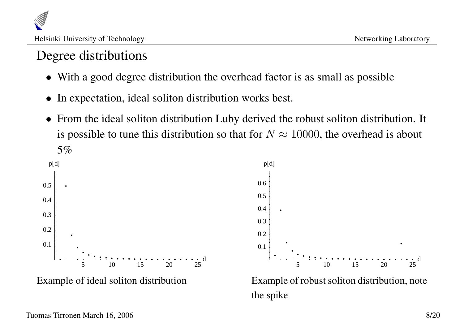# Degree distributions

- With a good degree distribution the overhead factor is as small as possible
- In expectation, ideal soliton distribution works best.
- From the ideal soliton distribution Luby derived the robust soliton distribution. It is possible to tune this distribution so that for  $N \approx 10000$ , the overhead is about 5%



Example of robust soliton distribution, note the spike

d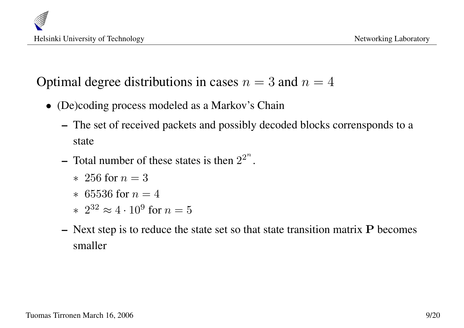

### Optimal degree distributions in cases  $n = 3$  and  $n = 4$

- (De)coding process modeled as a Markov's Chain
	- The set of received packets and possibly decoded blocks corrensponds to a state
	- Total number of these states is then  $2^{2^n}$ .
		- $* 256$  for  $n = 3$
		- $*$  65536 for  $n = 4$
		- \*  $2^{32} \approx 4 \cdot 10^9$  for  $n = 5$
	- Next step is to reduce the state set so that state transition matrix  $P$  becomes smaller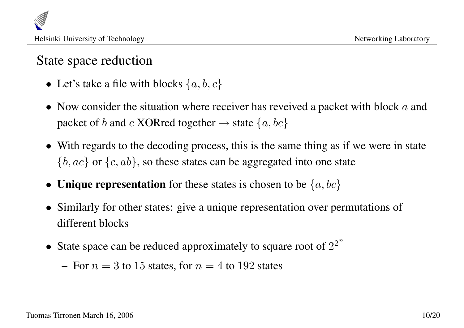### State space reduction

- Let's take a file with blocks  $\{a, b, c\}$
- Now consider the situation where receiver has reveived a packet with block  $a$  and packet of b and c XORred together  $\rightarrow$  state  $\{a, bc\}$
- With regards to the decoding process, this is the same thing as if we were in state  $\{b, ac\}$  or  $\{c, ab\}$ , so these states can be aggregated into one state
- **Unique representation** for these states is chosen to be  $\{a, bc\}$
- Similarly for other states: give a unique representation over permutations of different blocks
- State space can be reduced approximately to square root of  $2^{2^n}$ 
	- For  $n = 3$  to 15 states, for  $n = 4$  to 192 states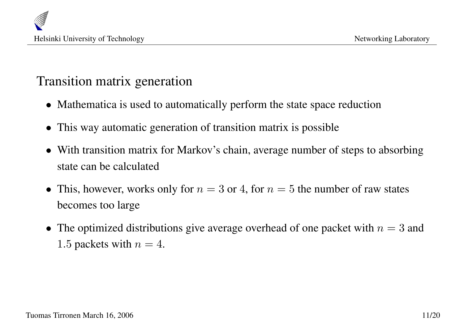

#### Transition matrix generation

- Mathematica is used to automatically perform the state space reduction
- This way automatic generation of transition matrix is possible
- With transition matrix for Markov's chain, average number of steps to absorbing state can be calculated
- This, however, works only for  $n = 3$  or 4, for  $n = 5$  the number of raw states becomes too large
- The optimized distributions give average overhead of one packet with  $n = 3$  and 1.5 packets with  $n = 4$ .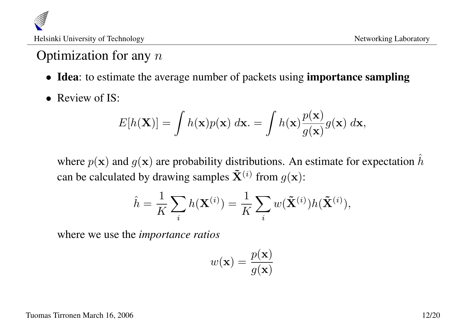

# Optimization for any  $n$

- Idea: to estimate the average number of packets using **importance sampling**
- Review of IS:

$$
E[h(\mathbf{X})] = \int h(\mathbf{x})p(\mathbf{x}) \, d\mathbf{x} = \int h(\mathbf{x}) \frac{p(\mathbf{x})}{g(\mathbf{x})} g(\mathbf{x}) \, d\mathbf{x},
$$

where  $p(x)$  and  $q(x)$  are probability distributions. An estimate for expectation  $\hat{h}$ can be calculated by drawing samples  $\tilde{\mathbf{X}}^{(i)}$  from  $g(\mathbf{x})$ :

$$
\hat{h} = \frac{1}{K} \sum_{i} h(\mathbf{X}^{(i)}) = \frac{1}{K} \sum_{i} w(\tilde{\mathbf{X}}^{(i)}) h(\tilde{\mathbf{X}}^{(i)}),
$$

where we use the *importance ratios*

$$
w(\mathbf{x}) = \frac{p(\mathbf{x})}{g(\mathbf{x})}
$$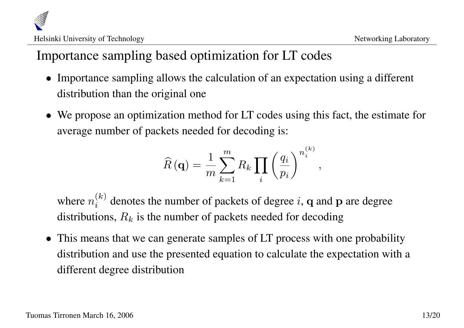# Importance sampling based optimization for LT codes

- Importance sampling allows the calculation of an expectation using a different distribution than the original one
- We propose an optimization method for LT codes using this fact, the estimate for average number of packets needed for decoding is:

$$
\widehat{R}(\mathbf{q}) = \frac{1}{m} \sum_{k=1}^{m} R_k \prod_i \left(\frac{q_i}{p_i}\right)^{n_i^{(k)}},
$$

where  $n_i^{(k)}$  $i^{(k)}$  denotes the number of packets of degree i, q and p are degree distributions,  $R_k$  is the number of packets needed for decoding

• This means that we can generate samples of LT process with one probability distribution and use the presented equation to calculate the expectation with a different degree distribution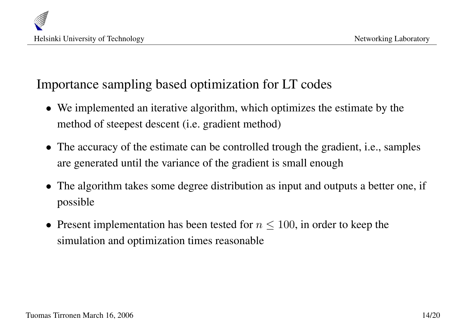

#### Importance sampling based optimization for LT codes

- We implemented an iterative algorithm, which optimizes the estimate by the method of steepest descent (i.e. gradient method)
- The accuracy of the estimate can be controlled trough the gradient, i.e., samples are generated until the variance of the gradient is small enough
- The algorithm takes some degree distribution as input and outputs a better one, if possible
- Present implementation has been tested for  $n \leq 100$ , in order to keep the simulation and optimization times reasonable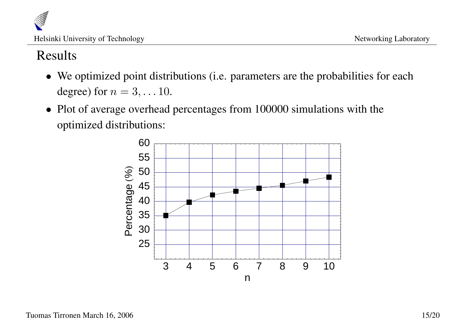

#### Results

- We optimized point distributions (i.e. parameters are the probabilities for each degree) for  $n = 3, \ldots 10$ .
- Plot of average overhead percentages from 100000 simulations with the optimized distributions:

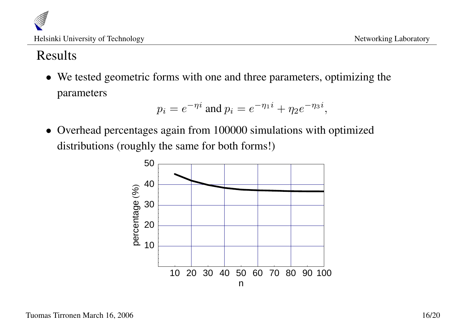

#### Results

• We tested geometric forms with one and three parameters, optimizing the parameters

$$
p_i = e^{-\eta i}
$$
 and  $p_i = e^{-\eta_1 i} + \eta_2 e^{-\eta_3 i}$ ,

• Overhead percentages again from 100000 simulations with optimized distributions (roughly the same for both forms!)

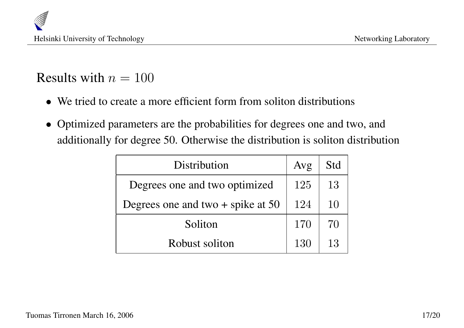

#### Results with  $n = 100$

- We tried to create a more efficient form from soliton distributions
- Optimized parameters are the probabilities for degrees one and two, and additionally for degree 50. Otherwise the distribution is soliton distribution

| Distribution                        | Avg | Std |
|-------------------------------------|-----|-----|
| Degrees one and two optimized       | 125 | 13  |
| Degrees one and two $+$ spike at 50 | 124 | 10  |
| Soliton                             | 170 | 70  |
| Robust soliton                      | 130 | 13  |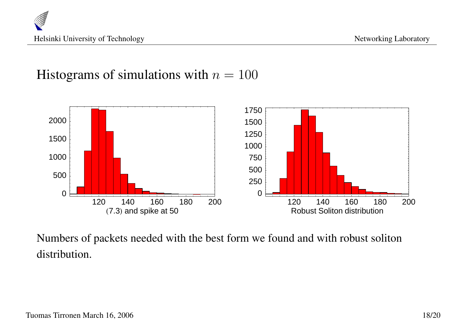

#### Histograms of simulations with  $n = 100$



Numbers of packets needed with the best form we found and with robust soliton distribution.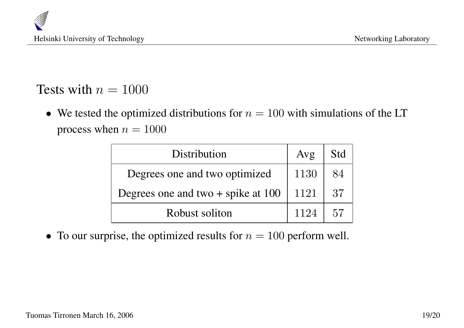#### Tests with  $n = 1000$

• We tested the optimized distributions for  $n = 100$  with simulations of the LT process when  $n = 1000$ 

| Distribution                         | Avg  | Std |
|--------------------------------------|------|-----|
| Degrees one and two optimized        | 1130 | 84  |
| Degrees one and two $+$ spike at 100 | 1121 | 37  |
| Robust soliton                       | 1124 | 57  |

• To our surprise, the optimized results for  $n = 100$  perform well.